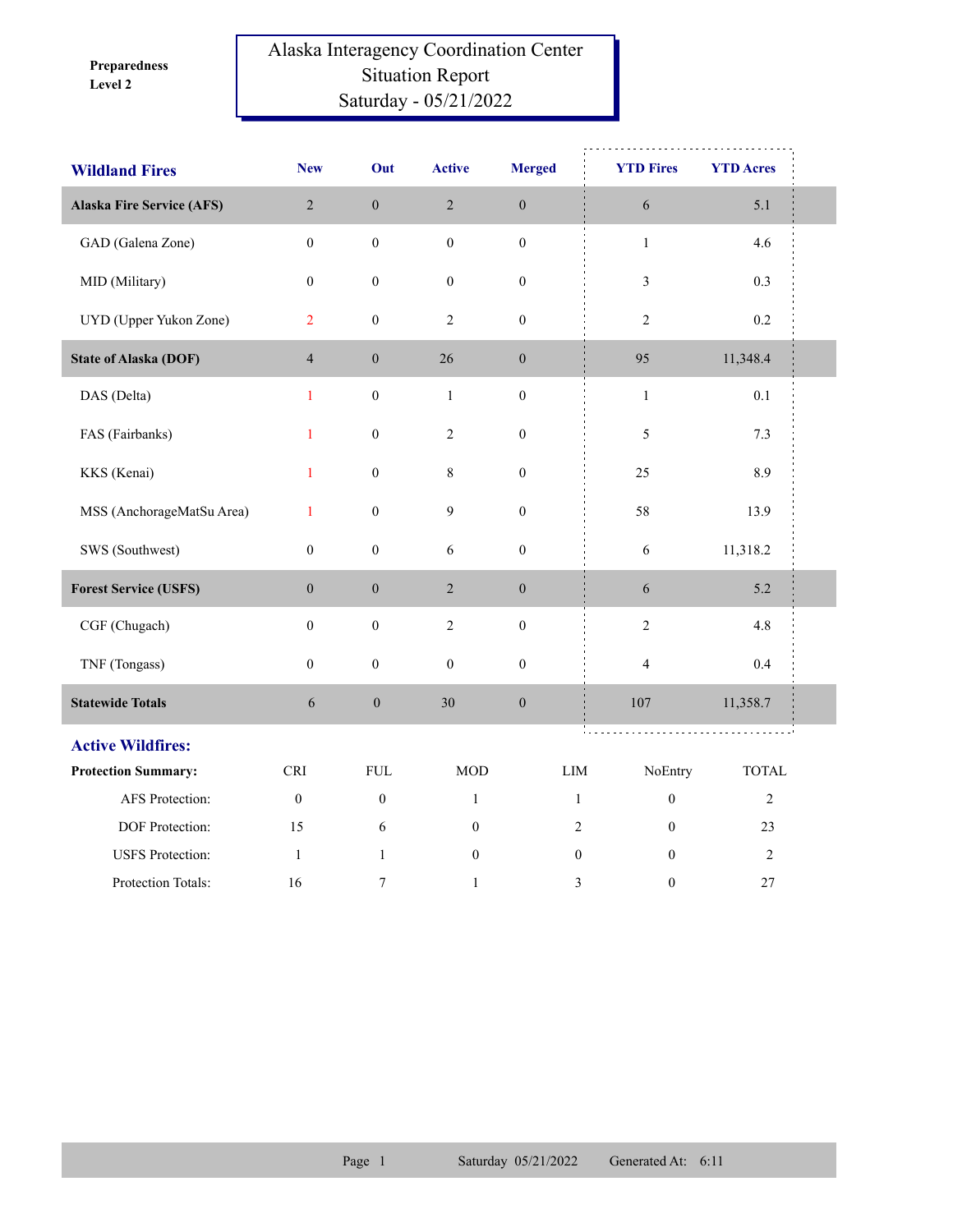**Level 2 Preparedness** 

## Alaska Interagency Coordination Center Situation Report Saturday - 05/21/2022

| <b>Wildland Fires</b>            | <b>New</b>       | Out              | <b>Active</b>    | <b>Merged</b>    | <b>YTD Fires</b>                 | <b>YTD Acres</b> |  |
|----------------------------------|------------------|------------------|------------------|------------------|----------------------------------|------------------|--|
| <b>Alaska Fire Service (AFS)</b> | $\sqrt{2}$       | $\boldsymbol{0}$ | $\sqrt{2}$       | $\boldsymbol{0}$ | 6                                | 5.1              |  |
| GAD (Galena Zone)                | $\boldsymbol{0}$ | $\boldsymbol{0}$ | $\boldsymbol{0}$ | $\boldsymbol{0}$ | $\,1$                            | 4.6              |  |
| MID (Military)                   | $\boldsymbol{0}$ | $\boldsymbol{0}$ | $\boldsymbol{0}$ | $\boldsymbol{0}$ | 3                                | 0.3              |  |
| UYD (Upper Yukon Zone)           | $\overline{2}$   | $\boldsymbol{0}$ | $\mathfrak{2}$   | $\boldsymbol{0}$ | $\overline{c}$                   | $0.2\,$          |  |
| <b>State of Alaska (DOF)</b>     | $\overline{4}$   | $\boldsymbol{0}$ | 26               | $\boldsymbol{0}$ | 95                               | 11,348.4         |  |
| DAS (Delta)                      | $\mathbf{1}$     | $\boldsymbol{0}$ | $\mathbf{1}$     | $\boldsymbol{0}$ | $\mathbf{1}$                     | 0.1              |  |
| FAS (Fairbanks)                  | $\mathbf{1}$     | $\boldsymbol{0}$ | $\sqrt{2}$       | $\boldsymbol{0}$ | 5                                | 7.3              |  |
| KKS (Kenai)                      | $\mathbf{1}$     | $\boldsymbol{0}$ | $\,8\,$          | $\boldsymbol{0}$ | 25                               | 8.9              |  |
| MSS (AnchorageMatSu Area)        | $\mathbf{1}$     | $\boldsymbol{0}$ | $\overline{9}$   | $\boldsymbol{0}$ | 58                               | 13.9             |  |
| SWS (Southwest)                  | $\boldsymbol{0}$ | $\boldsymbol{0}$ | $\epsilon$       | $\boldsymbol{0}$ | 6                                | 11,318.2         |  |
| <b>Forest Service (USFS)</b>     | $\mathbf{0}$     | $\boldsymbol{0}$ | $\sqrt{2}$       | $\boldsymbol{0}$ | 6                                | 5.2              |  |
| CGF (Chugach)                    | $\boldsymbol{0}$ | $\boldsymbol{0}$ | $\overline{c}$   | $\boldsymbol{0}$ | $\sqrt{2}$                       | 4.8              |  |
| TNF (Tongass)                    | $\boldsymbol{0}$ | $\boldsymbol{0}$ | $\boldsymbol{0}$ | $\boldsymbol{0}$ | $\overline{\mathbf{4}}$          | 0.4              |  |
| <b>Statewide Totals</b>          | 6                | $\boldsymbol{0}$ | 30               | $\boldsymbol{0}$ | $107\,$                          | 11,358.7         |  |
| <b>Active Wildfires:</b>         |                  |                  |                  |                  |                                  |                  |  |
| <b>Protection Summary:</b>       | <b>CRI</b>       | <b>FUL</b>       | <b>MOD</b>       |                  | LIM<br>NoEntry                   | <b>TOTAL</b>     |  |
| <b>AFS</b> Protection:           | $\mathbf{0}$     | $\mathbf{0}$     | $\mathbf{1}$     |                  | $\boldsymbol{0}$<br>$\mathbf{1}$ | $\sqrt{2}$       |  |
| DOF Protection:                  | 15               | 6                | $\boldsymbol{0}$ |                  | $\overline{2}$<br>$\Omega$       | 23               |  |
| <b>USFS</b> Protection:          | -1               | $\mathbf{1}$     | $\boldsymbol{0}$ |                  | $\boldsymbol{0}$<br>$\mathbf{0}$ | $\overline{2}$   |  |
| Protection Totals:               | 16               | 7                | $\mathbf{1}$     |                  | 3<br>$\boldsymbol{0}$            | 27               |  |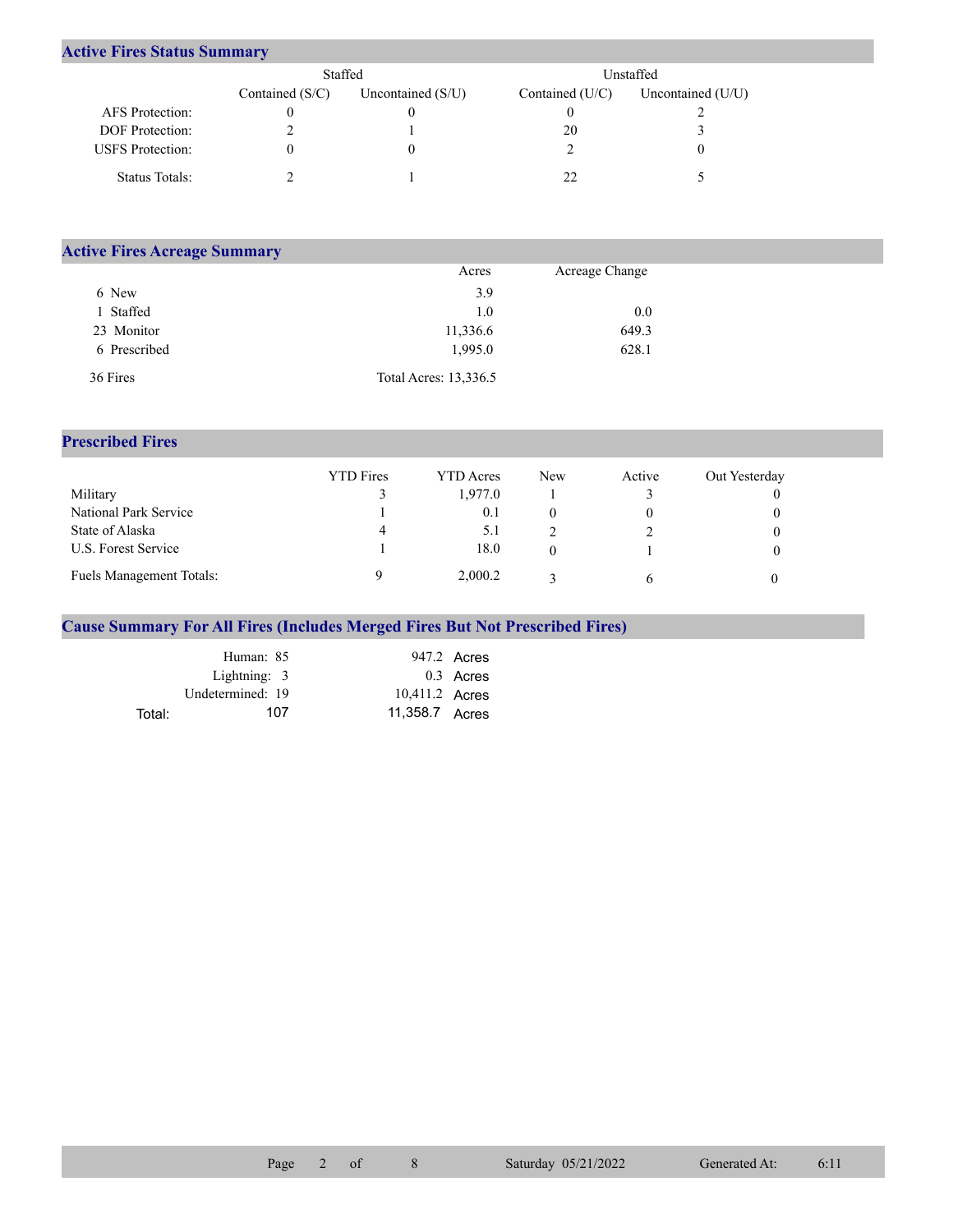## **Active Fires Status Summary**

|                         | Staffed           |                     | Unstaffed.        |                     |  |  |
|-------------------------|-------------------|---------------------|-------------------|---------------------|--|--|
|                         | Contained $(S/C)$ | Uncontained $(S/U)$ | Contained $(U/C)$ | Uncontained $(U/U)$ |  |  |
| AFS Protection:         |                   |                     |                   |                     |  |  |
| <b>DOF</b> Protection:  |                   |                     | 20                |                     |  |  |
| <b>USFS</b> Protection: |                   |                     |                   |                     |  |  |
| Status Totals:          |                   |                     |                   |                     |  |  |

| <b>Active Fires Acreage Summary</b> |                       |                |  |
|-------------------------------------|-----------------------|----------------|--|
|                                     | Acres                 | Acreage Change |  |
| 6 New                               | 3.9                   |                |  |
| l Staffed                           | 1.0                   | 0.0            |  |
| 23 Monitor                          | 11,336.6              | 649.3          |  |
| 6 Prescribed                        | 1,995.0               | 628.1          |  |
| 36 Fires                            | Total Acres: 13,336.5 |                |  |

## **Prescribed Fires**

|                                 | <b>YTD</b> Fires | <b>YTD</b> Acres | <b>New</b> | Active | Out Yesterday |
|---------------------------------|------------------|------------------|------------|--------|---------------|
| Military                        |                  | 1.977.0          |            |        |               |
| National Park Service           |                  | 0.1              |            |        |               |
| State of Alaska                 | 4                | 5.1              |            |        |               |
| U.S. Forest Service             |                  | 18.0             |            |        |               |
| <b>Fuels Management Totals:</b> |                  | 2,000.2          |            | h      |               |

## **Cause Summary For All Fires (Includes Merged Fires But Not Prescribed Fires)**

|        | Human: 85        |                | 947.2 Acres |
|--------|------------------|----------------|-------------|
|        | Lightning: $3$   |                | 0.3 Acres   |
|        | Undetermined: 19 | 10,411.2 Acres |             |
| Total: | 107              | 11.358.7 Acres |             |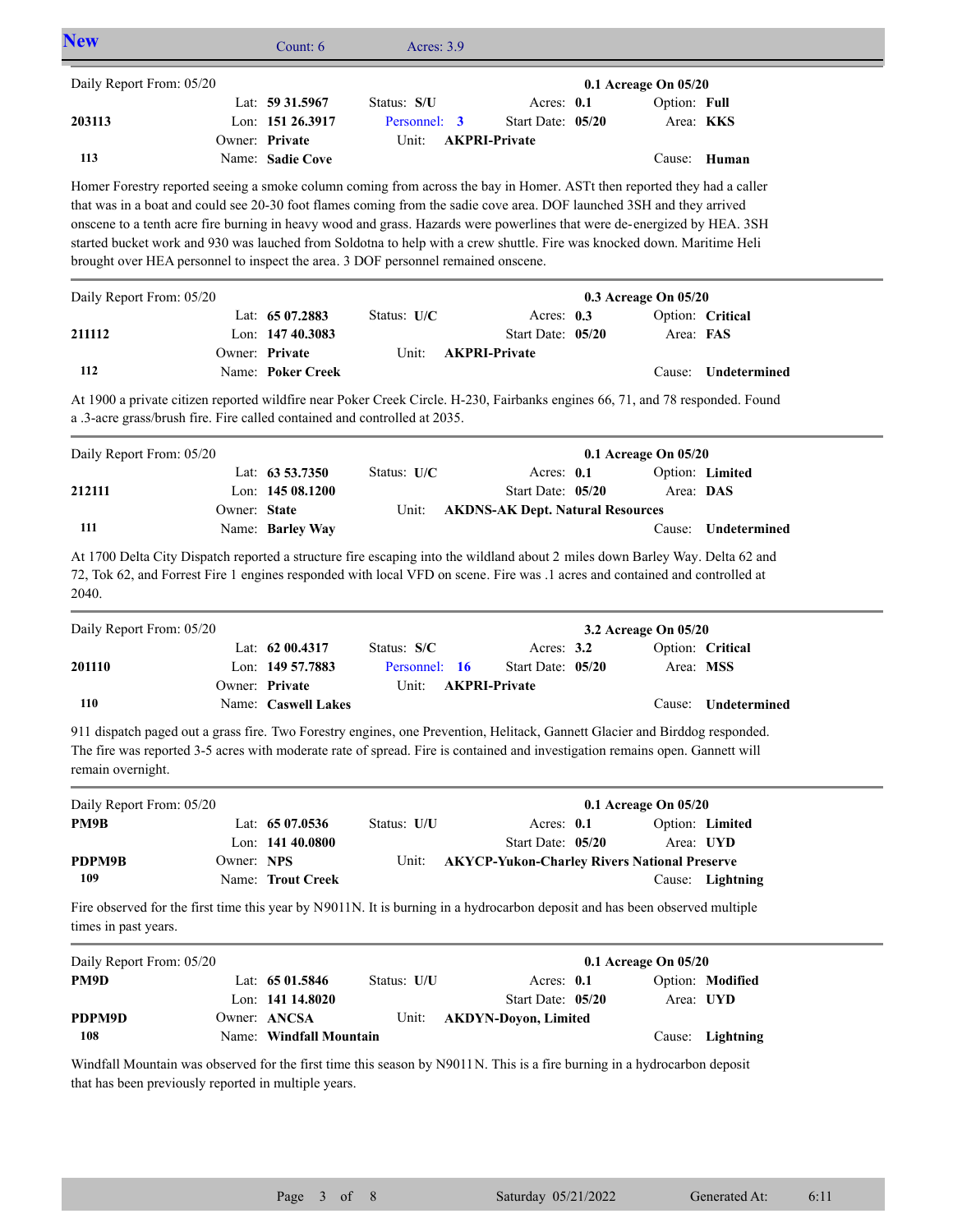| <b>New</b>                                                                                                                                                                                                                                                                                                                                                                                                                                                                                                                                                                                   |              | Count: 6                                              | <b>Acres: 3.9</b>                     |                                                                            |                                                     |                  |
|----------------------------------------------------------------------------------------------------------------------------------------------------------------------------------------------------------------------------------------------------------------------------------------------------------------------------------------------------------------------------------------------------------------------------------------------------------------------------------------------------------------------------------------------------------------------------------------------|--------------|-------------------------------------------------------|---------------------------------------|----------------------------------------------------------------------------|-----------------------------------------------------|------------------|
| Daily Report From: 05/20                                                                                                                                                                                                                                                                                                                                                                                                                                                                                                                                                                     |              |                                                       |                                       |                                                                            | 0.1 Acreage On 05/20                                |                  |
| 203113                                                                                                                                                                                                                                                                                                                                                                                                                                                                                                                                                                                       |              | Lat: 59 31.5967<br>Lon: 151 26.3917                   | Status: S/U<br>Personnel: 3           | Acres: $0.1$<br>Start Date: 05/20                                          | Option: Full<br>Area: KKS                           |                  |
| 113                                                                                                                                                                                                                                                                                                                                                                                                                                                                                                                                                                                          |              | Owner: Private<br>Name: Sadie Cove                    | Unit:                                 | <b>AKPRI-Private</b>                                                       |                                                     | Cause: Human     |
| Homer Forestry reported seeing a smoke column coming from across the bay in Homer. ASTt then reported they had a caller<br>that was in a boat and could see 20-30 foot flames coming from the sadie cove area. DOF launched 3SH and they arrived<br>onscene to a tenth acre fire burning in heavy wood and grass. Hazards were powerlines that were de-energized by HEA. 3SH<br>started bucket work and 930 was lauched from Soldotna to help with a crew shuttle. Fire was knocked down. Maritime Heli<br>brought over HEA personnel to inspect the area. 3 DOF personnel remained onscene. |              |                                                       |                                       |                                                                            |                                                     |                  |
| Daily Report From: 05/20                                                                                                                                                                                                                                                                                                                                                                                                                                                                                                                                                                     |              |                                                       |                                       |                                                                            | 0.3 Acreage On 05/20                                |                  |
| 211112                                                                                                                                                                                                                                                                                                                                                                                                                                                                                                                                                                                       |              | Lat: 65 07.2883<br>Lon: 147 40.3083                   | Status: U/C                           | Acres: 0.3<br>Start Date: 05/20                                            | Area: FAS                                           | Option: Critical |
| 112                                                                                                                                                                                                                                                                                                                                                                                                                                                                                                                                                                                          |              | Owner: Private<br>Name: Poker Creek                   | Unit:                                 | <b>AKPRI-Private</b>                                                       | Cause:                                              | Undetermined     |
| At 1900 a private citizen reported wildfire near Poker Creek Circle. H-230, Fairbanks engines 66, 71, and 78 responded. Found<br>a .3-acre grass/brush fire. Fire called contained and controlled at 2035.                                                                                                                                                                                                                                                                                                                                                                                   |              |                                                       |                                       |                                                                            |                                                     |                  |
| Daily Report From: 05/20                                                                                                                                                                                                                                                                                                                                                                                                                                                                                                                                                                     |              |                                                       |                                       |                                                                            | 0.1 Acreage On 05/20                                |                  |
| 212111                                                                                                                                                                                                                                                                                                                                                                                                                                                                                                                                                                                       | Owner: State | Lat: $63\,53.7350$<br>Lon: 145 08.1200                | Status: U/C<br>Unit:                  | Acres: 0.1<br>Start Date: 05/20<br><b>AKDNS-AK Dept. Natural Resources</b> | Area: DAS                                           | Option: Limited  |
| 111                                                                                                                                                                                                                                                                                                                                                                                                                                                                                                                                                                                          |              | Name: Barley Way                                      |                                       |                                                                            | Cause:                                              | Undetermined     |
| At 1700 Delta City Dispatch reported a structure fire escaping into the wildland about 2 miles down Barley Way. Delta 62 and<br>72, Tok 62, and Forrest Fire 1 engines responded with local VFD on scene. Fire was .1 acres and contained and controlled at<br>2040.                                                                                                                                                                                                                                                                                                                         |              |                                                       |                                       |                                                                            |                                                     |                  |
| Daily Report From: 05/20                                                                                                                                                                                                                                                                                                                                                                                                                                                                                                                                                                     |              |                                                       |                                       |                                                                            | 3.2 Acreage On 05/20                                |                  |
| 201110                                                                                                                                                                                                                                                                                                                                                                                                                                                                                                                                                                                       |              | Lat: 62 00.4317<br>Lon: 149 57.7883<br>Owner: Private | Status: S/C<br>Personnel: 16<br>Unit: | Acres: 3.2<br>Start Date: 05/20<br><b>AKPRI-Private</b>                    | Area: MSS                                           | Option: Critical |
| 110                                                                                                                                                                                                                                                                                                                                                                                                                                                                                                                                                                                          |              | Name: Caswell Lakes                                   |                                       |                                                                            | Cause:                                              | Undetermined     |
| 911 dispatch paged out a grass fire. Two Forestry engines, one Prevention, Helitack, Gannett Glacier and Birddog responded.<br>The fire was reported 3-5 acres with moderate rate of spread. Fire is contained and investigation remains open. Gannett will<br>remain overnight.                                                                                                                                                                                                                                                                                                             |              |                                                       |                                       |                                                                            |                                                     |                  |
| Daily Report From: 05/20                                                                                                                                                                                                                                                                                                                                                                                                                                                                                                                                                                     |              |                                                       |                                       |                                                                            | 0.1 Acreage On 05/20                                |                  |
| PM9B                                                                                                                                                                                                                                                                                                                                                                                                                                                                                                                                                                                         |              | Lat: $6507.0536$<br>Lon: 141 40.0800                  | Status: U/U                           | Acres: 0.1<br>Start Date: 05/20                                            | Area: UYD                                           | Option: Limited  |
| PDPM9B<br>109                                                                                                                                                                                                                                                                                                                                                                                                                                                                                                                                                                                | Owner: NPS   | Name: Trout Creek                                     | Unit:                                 |                                                                            | <b>AKYCP-Yukon-Charley Rivers National Preserve</b> | Cause: Lightning |
| Fire observed for the first time this year by N9011N. It is burning in a hydrocarbon deposit and has been observed multiple<br>times in past years.                                                                                                                                                                                                                                                                                                                                                                                                                                          |              |                                                       |                                       |                                                                            |                                                     |                  |
| Daily Report From: 05/20                                                                                                                                                                                                                                                                                                                                                                                                                                                                                                                                                                     |              |                                                       |                                       |                                                                            | 0.1 Acreage On 05/20                                |                  |
| PM9D<br>PDPM9D                                                                                                                                                                                                                                                                                                                                                                                                                                                                                                                                                                               |              | Lat: 65 01.5846<br>Lon: 141 14.8020<br>Owner: ANCSA   | Status: U/U<br>Unit:                  | Acres: 0.1<br>Start Date: 05/20<br><b>AKDYN-Doyon, Limited</b>             | Area: UYD                                           | Option: Modified |
| 108                                                                                                                                                                                                                                                                                                                                                                                                                                                                                                                                                                                          |              | Name: Windfall Mountain                               |                                       |                                                                            |                                                     | Cause: Lightning |
|                                                                                                                                                                                                                                                                                                                                                                                                                                                                                                                                                                                              |              |                                                       |                                       |                                                                            |                                                     |                  |

Windfall Mountain was observed for the first time this season by N9011N. This is a fire burning in a hydrocarbon deposit that has been previously reported in multiple years.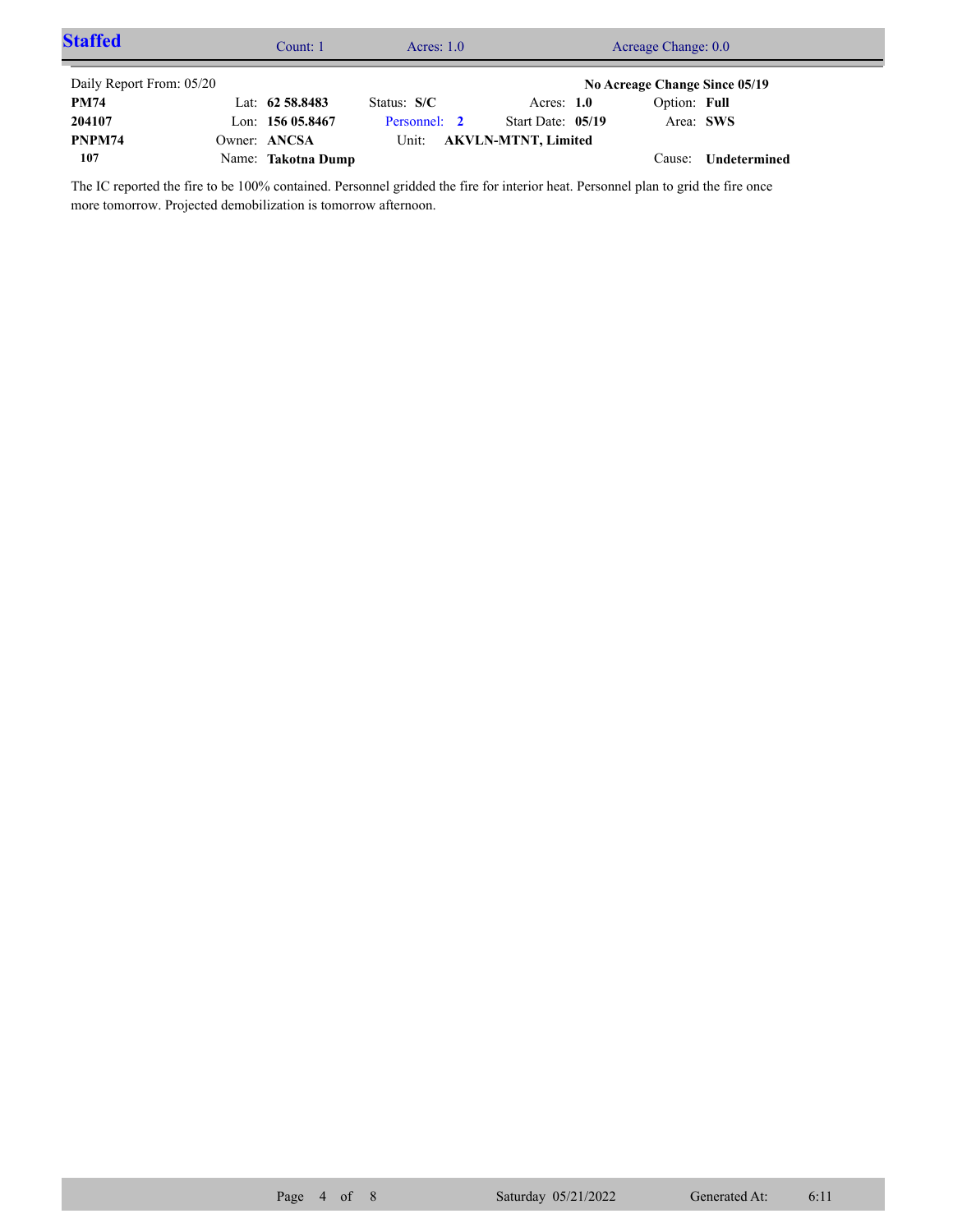| <b>Staffed</b>           | Count: 1           | Acres: $1.0$ |                            | Acreage Change: 0.0           |              |  |
|--------------------------|--------------------|--------------|----------------------------|-------------------------------|--------------|--|
| Daily Report From: 05/20 |                    |              |                            | No Acreage Change Since 05/19 |              |  |
| <b>PM74</b>              | Lat: 62 58.8483    | Status: S/C  | Acres: $1.0$               | Option: Full                  |              |  |
| 204107                   | Lon: $15605.8467$  | Personnel: 2 | Start Date: 05/19          | Area: SWS                     |              |  |
| PNPM74                   | Owner: ANCSA       | Unit:        | <b>AKVLN-MTNT, Limited</b> |                               |              |  |
| 107                      | Name: Takotna Dump |              |                            | Cause:                        | Undetermined |  |

The IC reported the fire to be 100% contained. Personnel gridded the fire for interior heat. Personnel plan to grid the fire once more tomorrow. Projected demobilization is tomorrow afternoon.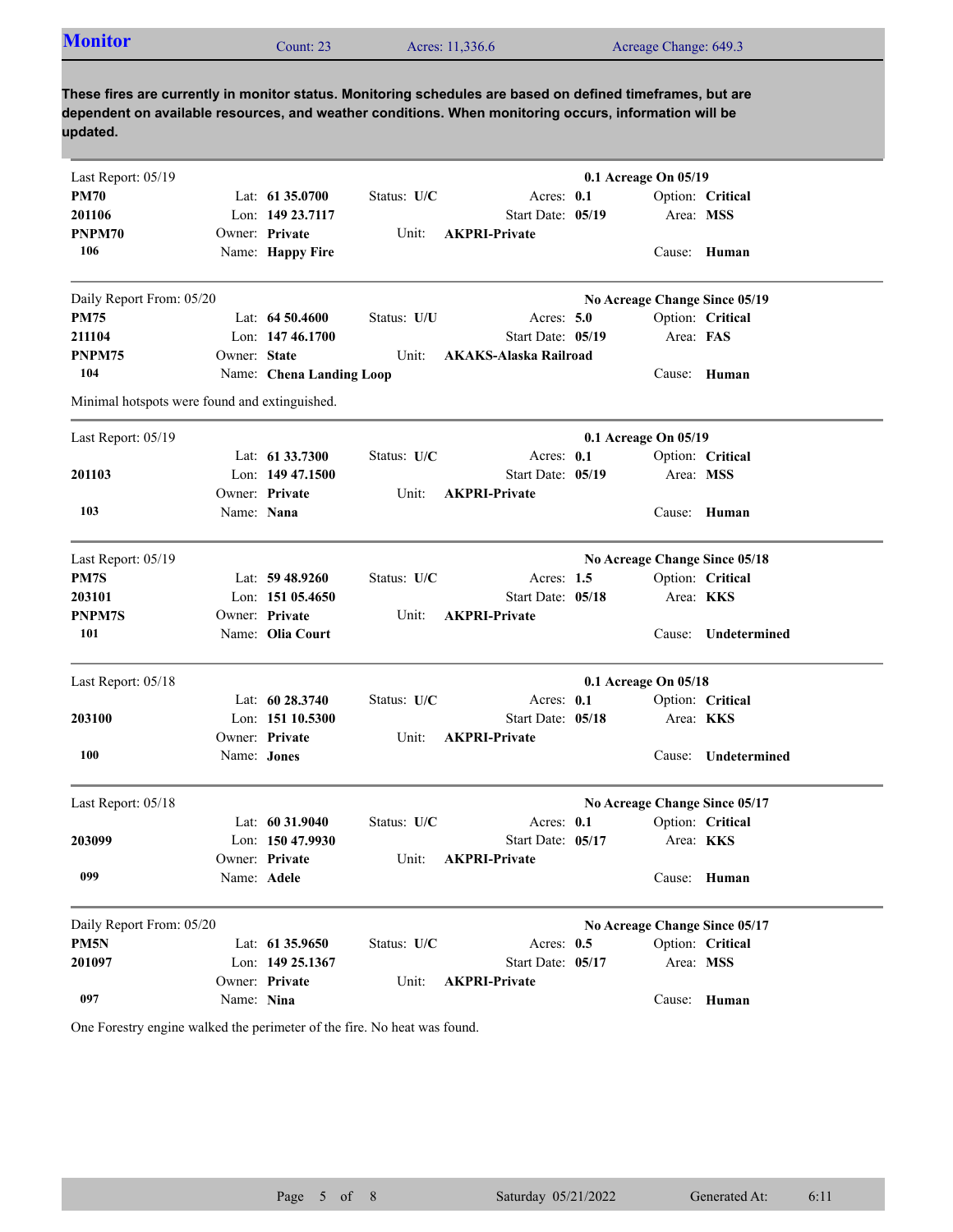| <b>Monitor</b> | Count: $23$ | Acres: 11,336.6 | Acreage Change: 649.3 |  |
|----------------|-------------|-----------------|-----------------------|--|
|                |             |                 |                       |  |

**These fires are currently in monitor status. Monitoring schedules are based on defined timeframes, but are dependent on available resources, and weather conditions. When monitoring occurs, information will be updated.**

| Last Report: 05/19                            |              |                          |             |                                   | 0.1 Acreage On 05/19          |                     |  |
|-----------------------------------------------|--------------|--------------------------|-------------|-----------------------------------|-------------------------------|---------------------|--|
| <b>PM70</b>                                   |              | Lat: 61 35.0700          | Status: U/C | Acres: 0.1                        |                               | Option: Critical    |  |
| 201106                                        |              | Lon: 149 23.7117         |             | Start Date: 05/19                 |                               | Area: MSS           |  |
| PNPM70                                        |              | Owner: Private           | Unit:       | <b>AKPRI-Private</b>              |                               |                     |  |
| 106                                           |              | Name: Happy Fire         |             |                                   |                               | Cause: Human        |  |
| Daily Report From: 05/20                      |              |                          |             |                                   | No Acreage Change Since 05/19 |                     |  |
| <b>PM75</b>                                   |              | Lat: $64,50,4600$        | Status: U/U | Acres: $5.0$                      |                               | Option: Critical    |  |
| 211104                                        |              | Lon: $14746.1700$        |             | Start Date: 05/19                 | Area: FAS                     |                     |  |
| PNPM75                                        | Owner: State |                          | Unit:       | <b>AKAKS-Alaska Railroad</b>      |                               |                     |  |
| 104                                           |              | Name: Chena Landing Loop |             |                                   |                               | Cause: Human        |  |
| Minimal hotspots were found and extinguished. |              |                          |             |                                   |                               |                     |  |
| Last Report: 05/19                            |              |                          |             |                                   | 0.1 Acreage On 05/19          |                     |  |
|                                               |              | Lat: 61 33.7300          | Status: U/C | Acres: 0.1                        |                               | Option: Critical    |  |
| 201103                                        |              | Lon: $14947.1500$        |             | Start Date: 05/19                 |                               | Area: MSS           |  |
|                                               |              | Owner: Private           | Unit:       | <b>AKPRI-Private</b>              |                               |                     |  |
| 103                                           | Name: Nana   |                          |             |                                   |                               | Cause: Human        |  |
| Last Report: 05/19                            |              |                          |             |                                   | No Acreage Change Since 05/18 |                     |  |
| PM7S                                          |              | Lat: $59\,48.9260$       | Status: U/C | Acres: $1.5$                      |                               | Option: Critical    |  |
| 203101                                        |              | Lon: 151 05.4650         |             | Start Date: 05/18                 |                               | Area: KKS           |  |
| PNPM7S                                        |              | Owner: Private           | Unit:       | <b>AKPRI-Private</b>              |                               |                     |  |
| 101                                           |              | Name: Olia Court         |             |                                   |                               | Cause: Undetermined |  |
| Last Report: 05/18                            |              |                          |             |                                   | 0.1 Acreage On 05/18          |                     |  |
|                                               |              | Lat: 60 28.3740          | Status: U/C | Acres: 0.1                        |                               | Option: Critical    |  |
| 203100                                        |              | Lon: 151 10.5300         |             | Start Date: 05/18                 |                               | Area: <b>KKS</b>    |  |
|                                               |              | Owner: Private           | Unit:       | <b>AKPRI-Private</b>              |                               |                     |  |
| 100                                           | Name: Jones  |                          |             |                                   | Cause:                        | Undetermined        |  |
| Last Report: 05/18                            |              |                          |             |                                   | No Acreage Change Since 05/17 |                     |  |
|                                               |              | Lat: $60\,31.9040$       | Status: U/C | Acres: $0.1$                      |                               | Option: Critical    |  |
| 203099                                        |              | Lon: 150 47.9930         |             | Start Date: 05/17                 |                               | Area: <b>KKS</b>    |  |
|                                               |              | Owner: Private           | Unit:       | <b>AKPRI-Private</b>              |                               |                     |  |
| 099                                           | Name: Adele  |                          |             |                                   |                               | Cause: Human        |  |
|                                               |              |                          |             |                                   |                               |                     |  |
| Daily Report From: 05/20                      |              |                          |             |                                   | No Acreage Change Since 05/17 |                     |  |
| PM5N                                          |              | Lat: 61 35.9650          | Status: U/C | Acres: $0.5$<br>Start Date: 05/17 |                               | Option: Critical    |  |
| 201097                                        |              | Lon: 149 25.1367         |             |                                   |                               | Area: MSS           |  |
| 097                                           |              | Owner: Private           | Unit:       | <b>AKPRI-Private</b>              |                               |                     |  |
|                                               | Name: Nina   |                          |             |                                   |                               | Cause: Human        |  |

One Forestry engine walked the perimeter of the fire. No heat was found.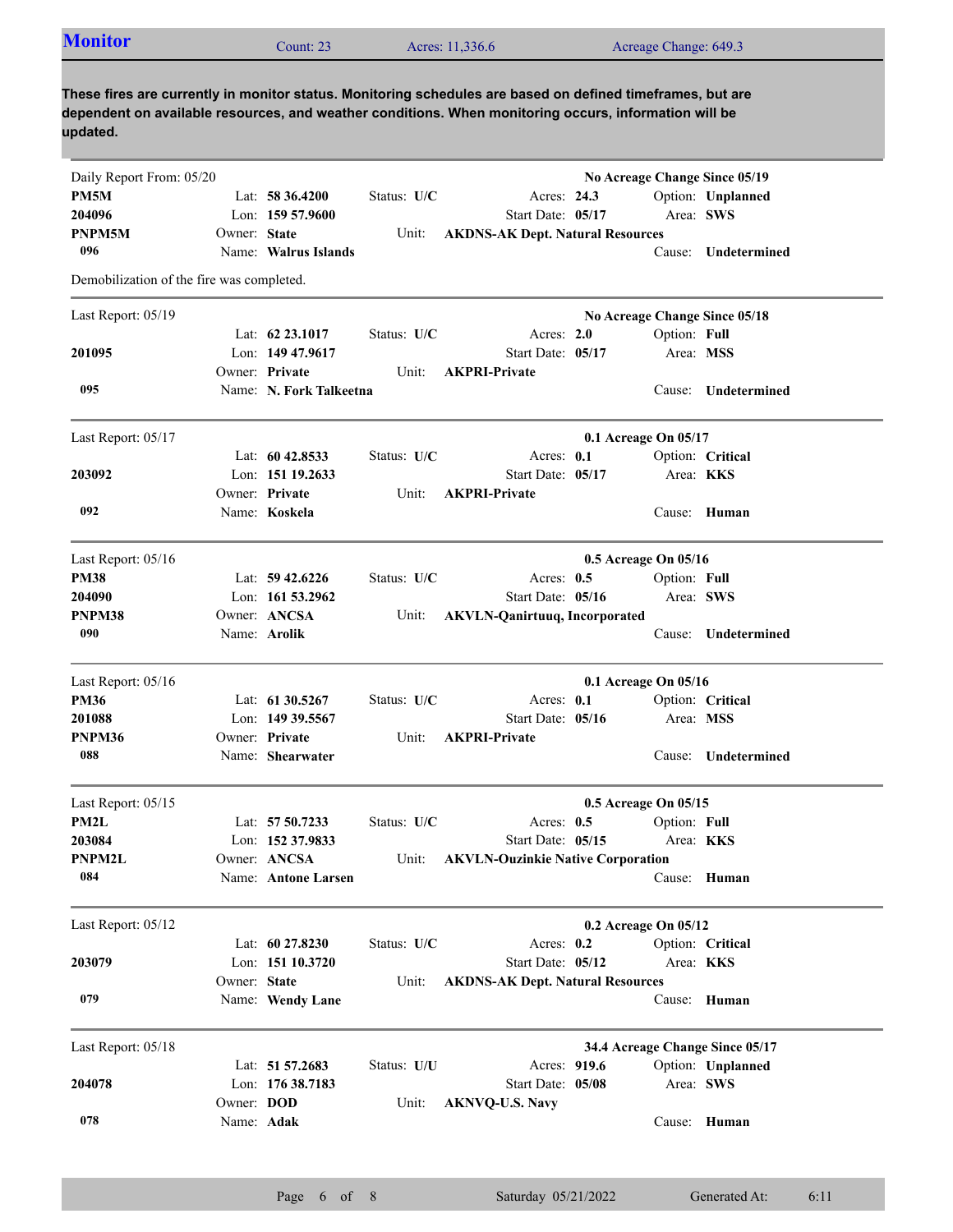| <b>Monitor</b>                            |              | Count: 23               |             | Acres: 11,336.6                                                                                                                                                                                                     | Acreage Change: 649.3         |                     |
|-------------------------------------------|--------------|-------------------------|-------------|---------------------------------------------------------------------------------------------------------------------------------------------------------------------------------------------------------------------|-------------------------------|---------------------|
| updated.                                  |              |                         |             | These fires are currently in monitor status. Monitoring schedules are based on defined timeframes, but are<br>dependent on available resources, and weather conditions. When monitoring occurs, information will be |                               |                     |
| Daily Report From: 05/20                  |              |                         |             |                                                                                                                                                                                                                     | No Acreage Change Since 05/19 |                     |
| PM5M                                      |              | Lat: 58 36.4200         | Status: U/C | Acres: 24.3                                                                                                                                                                                                         |                               | Option: Unplanned   |
| 204096                                    |              | Lon: $15957.9600$       |             | Start Date: 05/17                                                                                                                                                                                                   | Area: SWS                     |                     |
| <b>PNPM5M</b>                             | Owner: State |                         | Unit:       | <b>AKDNS-AK Dept. Natural Resources</b>                                                                                                                                                                             |                               |                     |
| 096                                       |              | Name: Walrus Islands    |             |                                                                                                                                                                                                                     |                               | Cause: Undetermined |
| Demobilization of the fire was completed. |              |                         |             |                                                                                                                                                                                                                     |                               |                     |
| Last Report: 05/19                        |              |                         |             |                                                                                                                                                                                                                     | No Acreage Change Since 05/18 |                     |
|                                           |              | Lat: 62 23.1017         | Status: U/C | Acres: 2.0                                                                                                                                                                                                          | Option: Full                  |                     |
| 201095                                    |              | Lon: 149 47.9617        |             | Start Date: 05/17                                                                                                                                                                                                   | Area: MSS                     |                     |
|                                           |              | Owner: Private          | Unit:       | <b>AKPRI-Private</b>                                                                                                                                                                                                |                               |                     |
| 095                                       |              | Name: N. Fork Talkeetna |             |                                                                                                                                                                                                                     | Cause:                        | Undetermined        |
|                                           |              |                         |             |                                                                                                                                                                                                                     |                               |                     |
| Last Report: 05/17                        |              |                         |             |                                                                                                                                                                                                                     | 0.1 Acreage On 05/17          |                     |
|                                           |              | Lat: $6042.8533$        | Status: U/C | Acres: $0.1$                                                                                                                                                                                                        |                               | Option: Critical    |
| 203092                                    |              | Lon: 151 19.2633        |             | Start Date: 05/17                                                                                                                                                                                                   | Area: <b>KKS</b>              |                     |
|                                           |              | Owner: Private          | Unit:       | <b>AKPRI-Private</b>                                                                                                                                                                                                |                               |                     |
| 092                                       |              | Name: Koskela           |             |                                                                                                                                                                                                                     |                               | Cause: Human        |
| Last Report: 05/16                        |              |                         |             |                                                                                                                                                                                                                     | 0.5 Acreage On 05/16          |                     |
| <b>PM38</b>                               |              | Lat: $59\,42.6226$      | Status: U/C | Acres: $0.5$                                                                                                                                                                                                        | Option: Full                  |                     |
| 204090                                    |              | Lon: $161\,53.2962$     |             | Start Date: 05/16                                                                                                                                                                                                   | Area: SWS                     |                     |
| PNPM38                                    |              | Owner: ANCSA            | Unit:       | <b>AKVLN-Qanirtuuq, Incorporated</b>                                                                                                                                                                                |                               |                     |
| 090                                       |              | Name: Arolik            |             |                                                                                                                                                                                                                     | Cause:                        | Undetermined        |
| Last Report: 05/16                        |              |                         |             |                                                                                                                                                                                                                     | 0.1 Acreage On 05/16          |                     |
| <b>PM36</b>                               |              | Lat: 61 30.5267         | Status: U/C | Acres: 0.1                                                                                                                                                                                                          |                               | Option: Critical    |
| 201088                                    |              | Lon: 149 39.5567        |             | Start Date: 05/16                                                                                                                                                                                                   | Area: MSS                     |                     |
| PNPM36                                    |              | Owner: Private          | Unit:       | <b>AKPRI-Private</b>                                                                                                                                                                                                |                               |                     |
| 088                                       |              | Name: Shearwater        |             |                                                                                                                                                                                                                     |                               | Cause: Undetermined |
| Last Report: 05/15                        |              |                         |             |                                                                                                                                                                                                                     | 0.5 Acreage On 05/15          |                     |
| PM2L                                      |              | Lat: 57 50.7233         | Status: U/C | Acres: $0.5$                                                                                                                                                                                                        | Option: Full                  |                     |
| 203084                                    |              | Lon: 152 37.9833        |             | Start Date: 05/15                                                                                                                                                                                                   | Area: KKS                     |                     |
| PNPM2L                                    |              | Owner: ANCSA            | Unit:       |                                                                                                                                                                                                                     |                               |                     |
| 084                                       |              | Name: Antone Larsen     |             | <b>AKVLN-Ouzinkie Native Corporation</b>                                                                                                                                                                            |                               | Cause: Human        |
| Last Report: 05/12                        |              |                         |             |                                                                                                                                                                                                                     | 0.2 Acreage On 05/12          |                     |
|                                           |              | Lat: 60 27.8230         | Status: U/C | Acres: 0.2                                                                                                                                                                                                          |                               | Option: Critical    |
| 203079                                    |              | Lon: 151 10.3720        |             | Start Date: 05/12                                                                                                                                                                                                   | Area: KKS                     |                     |
|                                           | Owner: State |                         | Unit:       |                                                                                                                                                                                                                     |                               |                     |
| 079                                       |              |                         |             | <b>AKDNS-AK Dept. Natural Resources</b>                                                                                                                                                                             |                               |                     |
|                                           |              | Name: Wendy Lane        |             |                                                                                                                                                                                                                     |                               | Cause: Human        |

| Last Report: 05/18 |                   |                    |             |                        |           | 34.4 Acreage Change Since 05/17 |
|--------------------|-------------------|--------------------|-------------|------------------------|-----------|---------------------------------|
|                    |                   | Lat: $51\,57.2683$ | Status: U/U | Acres: 919.6           |           | Option: Unplanned               |
| 204078             |                   | Lon: $17638.7183$  |             | Start Date: 05/08      | Area: SWS |                                 |
|                    | Owner: <b>DOD</b> |                    | Unit:       | <b>AKNVO-U.S. Navv</b> |           |                                 |
| 078                | Name: Adak        |                    |             |                        | Cause:    | Human                           |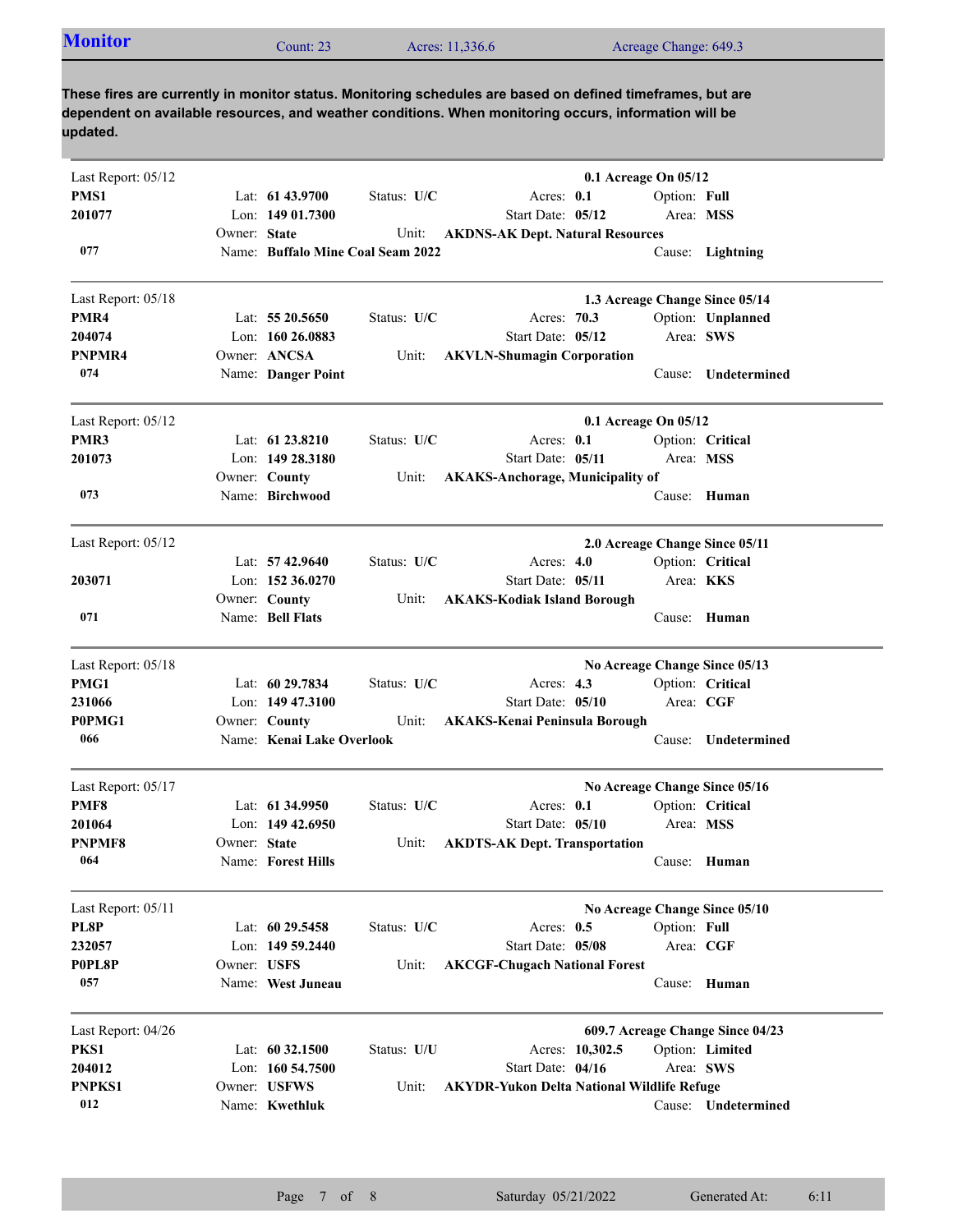| <b>Monitor</b><br>Count: 23 | Acres: 11,336.6 | Acreage Change: 649.3 |
|-----------------------------|-----------------|-----------------------|
|-----------------------------|-----------------|-----------------------|

**These fires are currently in monitor status. Monitoring schedules are based on defined timeframes, but are dependent on available resources, and weather conditions. When monitoring occurs, information will be updated.**

| Last Report: 05/12 |              |                                   |             | 0.1 Acreage On 05/12                              |                                |              |                                  |  |
|--------------------|--------------|-----------------------------------|-------------|---------------------------------------------------|--------------------------------|--------------|----------------------------------|--|
| PMS1               |              | Lat: $61\,43.9700$                | Status: U/C | Acres: 0.1                                        |                                | Option: Full |                                  |  |
| 201077             |              | Lon: 149 01.7300                  |             | Start Date: 05/12                                 |                                | Area: MSS    |                                  |  |
|                    | Owner: State |                                   | Unit:       | <b>AKDNS-AK Dept. Natural Resources</b>           |                                |              |                                  |  |
| 077                |              | Name: Buffalo Mine Coal Seam 2022 |             |                                                   |                                |              | Cause: Lightning                 |  |
| Last Report: 05/18 |              |                                   |             |                                                   | 1.3 Acreage Change Since 05/14 |              |                                  |  |
| PMR4               |              | Lat: $5520.5650$                  | Status: U/C | Acres: 70.3                                       |                                |              | Option: Unplanned                |  |
| 204074             |              | Lon: 160 26,0883                  |             | Start Date: 05/12                                 |                                | Area: SWS    |                                  |  |
| PNPMR4             |              | Owner: ANCSA                      | Unit:       | <b>AKVLN-Shumagin Corporation</b>                 |                                |              |                                  |  |
| 074                |              | Name: Danger Point                |             |                                                   |                                | Cause:       | Undetermined                     |  |
| Last Report: 05/12 |              |                                   |             |                                                   | 0.1 Acreage On 05/12           |              |                                  |  |
| PMR3               |              | Lat: $61\,23.8210$                | Status: U/C | Acres: $0.1$                                      |                                |              | Option: Critical                 |  |
| 201073             |              | Lon: 149 28.3180                  |             | Start Date: 05/11                                 |                                | Area: MSS    |                                  |  |
|                    |              | Owner: County                     | Unit:       | <b>AKAKS-Anchorage, Municipality of</b>           |                                |              |                                  |  |
| 073                |              | Name: Birchwood                   |             |                                                   |                                |              | Cause: Human                     |  |
| Last Report: 05/12 |              |                                   |             |                                                   | 2.0 Acreage Change Since 05/11 |              |                                  |  |
|                    |              | Lat: $57\,42.9640$                | Status: U/C | Acres: $4.0$                                      |                                |              | Option: Critical                 |  |
| 203071             |              | Lon: $152,36.0270$                |             | Start Date: 05/11                                 |                                | Area: KKS    |                                  |  |
|                    |              | Owner: County                     | Unit:       | <b>AKAKS-Kodiak Island Borough</b>                |                                |              |                                  |  |
| 071                |              | Name: Bell Flats                  |             |                                                   |                                |              | Cause: Human                     |  |
| Last Report: 05/18 |              |                                   |             |                                                   | No Acreage Change Since 05/13  |              |                                  |  |
| PMG1               |              | Lat: 60 29.7834                   | Status: U/C | Acres: $4.3$                                      |                                |              | Option: Critical                 |  |
| 231066             |              | Lon: 149 47.3100                  |             | Start Date: 05/10                                 |                                | Area: CGF    |                                  |  |
| P0PMG1             |              | Owner: County                     | Unit:       | <b>AKAKS-Kenai Peninsula Borough</b>              |                                |              |                                  |  |
| 066                |              | Name: Kenai Lake Overlook         |             |                                                   |                                | Cause:       | Undetermined                     |  |
| Last Report: 05/17 |              |                                   |             |                                                   | No Acreage Change Since 05/16  |              |                                  |  |
| PMF8               |              | Lat: $61\,34.9950$                | Status: U/C | Acres: $0.1$                                      |                                |              | Option: Critical                 |  |
| 201064             |              | Lon: $14942.6950$                 |             | Start Date: 05/10                                 |                                | Area: MSS    |                                  |  |
| <b>PNPMF8</b>      | Owner: State |                                   | Unit:       | <b>AKDTS-AK Dept. Transportation</b>              |                                |              |                                  |  |
| 064                |              | Name: Forest Hills                |             |                                                   |                                |              | Cause: Human                     |  |
| Last Report: 05/11 |              |                                   |             |                                                   | No Acreage Change Since 05/10  |              |                                  |  |
| PL8P               |              | Lat: $60\,29.5458$                | Status: U/C | Acres: $0.5$                                      |                                | Option: Full |                                  |  |
| 232057             |              | Lon: $14959.2440$                 |             | Start Date: 05/08                                 |                                | Area: CGF    |                                  |  |
| P0PL8P             | Owner: USFS  |                                   | Unit:       | <b>AKCGF-Chugach National Forest</b>              |                                |              |                                  |  |
| 057                |              | Name: West Juneau                 |             |                                                   |                                | Cause:       | Human                            |  |
| Last Report: 04/26 |              |                                   |             |                                                   |                                |              | 609.7 Acreage Change Since 04/23 |  |
| PKS1               |              | Lat: 60 32.1500                   | Status: U/U | Acres: 10,302.5                                   |                                |              | Option: Limited                  |  |
| 204012             |              | Lon: 160 54.7500                  |             | Start Date: 04/16                                 |                                | Area: SWS    |                                  |  |
| PNPKS1             |              | Owner: USFWS                      | Unit:       | <b>AKYDR-Yukon Delta National Wildlife Refuge</b> |                                |              |                                  |  |
| 012                |              | Name: Kwethluk                    |             |                                                   |                                |              | Cause: Undetermined              |  |
|                    |              |                                   |             |                                                   |                                |              |                                  |  |